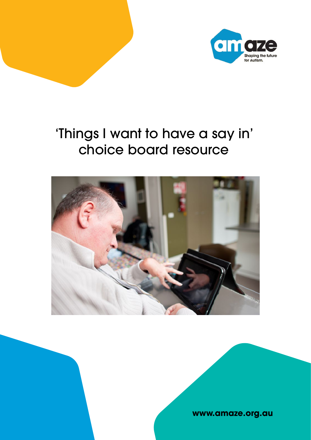

## 'Things I want to have a say in' choice board resource



## **www.amaze.org.au**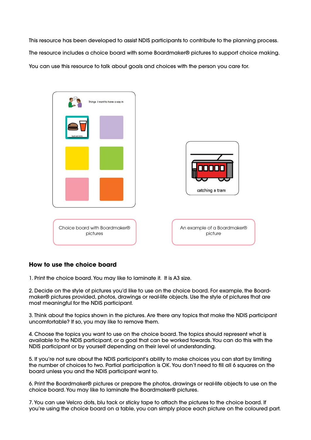This resource has been developed to assist NDIS participants to contribute to the planning process. The resource includes a choice board with some Boardmaker® pictures to support choice making. You can use this resource to talk about goals and choices with the person you care for.

## **How to use the choice board**

1. Print the choice board. You may like to laminate it. It is A3 size.

2. Decide on the style of pictures you'd like to use on the choice board. For example, the Boardmaker® pictures provided, photos, drawings or real-life objects. Use the style of pictures that are most meaningful for the NDIS participant.

3. Think about the topics shown in the pictures. Are there any topics that make the NDIS participant uncomfortable? If so, you may like to remove them.

4. Choose the topics you want to use on the choice board. The topics should represent what is available to the NDIS participant, or a goal that can be worked towards. You can do this with the NDIS participant or by yourself depending on their level of understanding.

5. If you're not sure about the NDIS participant's ability to make choices you can start by limiting the number of choices to two. Partial participation is OK. You don't need to fill all 6 squares on the board unless you and the NDIS participant want to.

6. Print the Boardmaker® pictures or prepare the photos, drawings or real-life objects to use on the choice board. You may like to laminate the Boardmaker® pictures.

7. You can use Velcro dots, blu tack or sticky tape to attach the pictures to the choice board. If you're using the choice board on a table, you can simply place each picture on the coloured part.

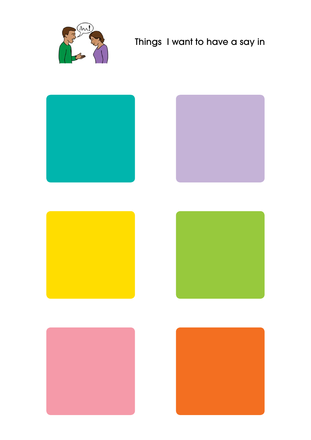

## Things I want to have a say in









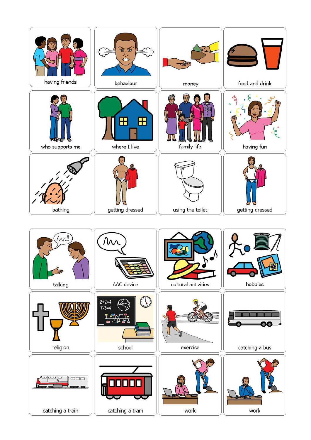